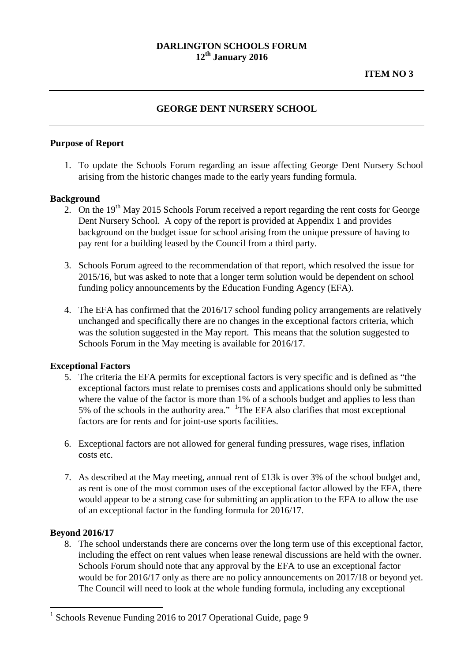### **DARLINGTON SCHOOLS FORUM 12th January 2016**

# **ITEM NO 3**

### **GEORGE DENT NURSERY SCHOOL**

### **Purpose of Report**

1. To update the Schools Forum regarding an issue affecting George Dent Nursery School arising from the historic changes made to the early years funding formula.

#### **Background**

- 2. On the 19<sup>th</sup> May 2015 Schools Forum received a report regarding the rent costs for George Dent Nursery School. A copy of the report is provided at Appendix 1 and provides background on the budget issue for school arising from the unique pressure of having to pay rent for a building leased by the Council from a third party.
- 3. Schools Forum agreed to the recommendation of that report, which resolved the issue for 2015/16, but was asked to note that a longer term solution would be dependent on school funding policy announcements by the Education Funding Agency (EFA).
- 4. The EFA has confirmed that the 2016/17 school funding policy arrangements are relatively unchanged and specifically there are no changes in the exceptional factors criteria, which was the solution suggested in the May report. This means that the solution suggested to Schools Forum in the May meeting is available for 2016/17.

#### **Exceptional Factors**

- 5. The criteria the EFA permits for exceptional factors is very specific and is defined as "the exceptional factors must relate to premises costs and applications should only be submitted where the value of the factor is more than 1% of a schools budget and applies to less than 5% of the schools in the authority area."  $\frac{1}{1}$  $\frac{1}{1}$  $\frac{1}{1}$ The EFA also clarifies that most exceptional factors are for rents and for joint-use sports facilities.
- 6. Exceptional factors are not allowed for general funding pressures, wage rises, inflation costs etc.
- 7. As described at the May meeting, annual rent of £13k is over 3% of the school budget and, as rent is one of the most common uses of the exceptional factor allowed by the EFA, there would appear to be a strong case for submitting an application to the EFA to allow the use of an exceptional factor in the funding formula for 2016/17.

#### **Beyond 2016/17**

 $\overline{a}$ 

8. The school understands there are concerns over the long term use of this exceptional factor, including the effect on rent values when lease renewal discussions are held with the owner. Schools Forum should note that any approval by the EFA to use an exceptional factor would be for 2016/17 only as there are no policy announcements on 2017/18 or beyond yet. The Council will need to look at the whole funding formula, including any exceptional

<span id="page-0-0"></span><sup>&</sup>lt;sup>1</sup> Schools Revenue Funding 2016 to 2017 Operational Guide, page 9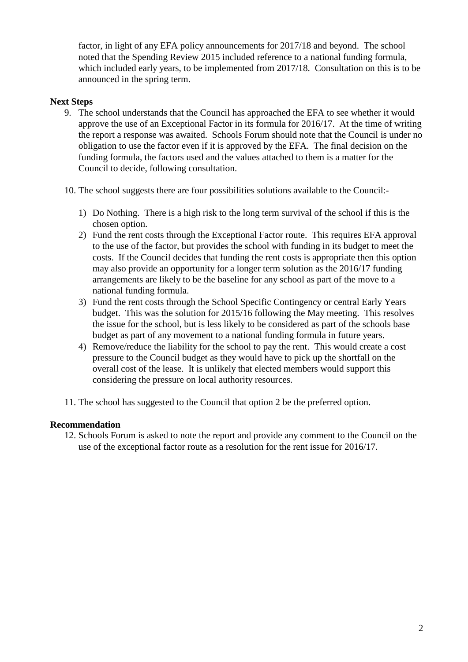factor, in light of any EFA policy announcements for 2017/18 and beyond. The school noted that the Spending Review 2015 included reference to a national funding formula, which included early years, to be implemented from 2017/18. Consultation on this is to be announced in the spring term.

# **Next Steps**

- 9. The school understands that the Council has approached the EFA to see whether it would approve the use of an Exceptional Factor in its formula for 2016/17. At the time of writing the report a response was awaited. Schools Forum should note that the Council is under no obligation to use the factor even if it is approved by the EFA. The final decision on the funding formula, the factors used and the values attached to them is a matter for the Council to decide, following consultation.
- 10. The school suggests there are four possibilities solutions available to the Council:-
	- 1) Do Nothing. There is a high risk to the long term survival of the school if this is the chosen option.
	- 2) Fund the rent costs through the Exceptional Factor route. This requires EFA approval to the use of the factor, but provides the school with funding in its budget to meet the costs. If the Council decides that funding the rent costs is appropriate then this option may also provide an opportunity for a longer term solution as the 2016/17 funding arrangements are likely to be the baseline for any school as part of the move to a national funding formula.
	- 3) Fund the rent costs through the School Specific Contingency or central Early Years budget. This was the solution for 2015/16 following the May meeting. This resolves the issue for the school, but is less likely to be considered as part of the schools base budget as part of any movement to a national funding formula in future years.
	- 4) Remove/reduce the liability for the school to pay the rent. This would create a cost pressure to the Council budget as they would have to pick up the shortfall on the overall cost of the lease. It is unlikely that elected members would support this considering the pressure on local authority resources.
- 11. The school has suggested to the Council that option 2 be the preferred option.

### **Recommendation**

12. Schools Forum is asked to note the report and provide any comment to the Council on the use of the exceptional factor route as a resolution for the rent issue for 2016/17.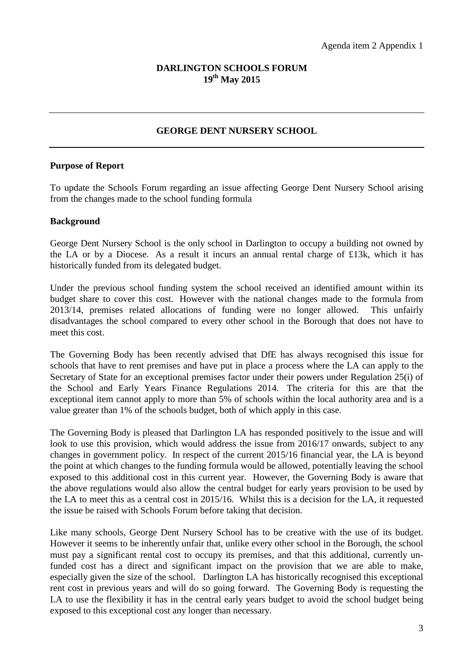# **DARLINGTON SCHOOLS FORUM 19th May 2015**

# **GEORGE DENT NURSERY SCHOOL**

#### **Purpose of Report**

To update the Schools Forum regarding an issue affecting George Dent Nursery School arising from the changes made to the school funding formula

#### **Background**

George Dent Nursery School is the only school in Darlington to occupy a building not owned by the LA or by a Diocese. As a result it incurs an annual rental charge of £13k, which it has historically funded from its delegated budget.

Under the previous school funding system the school received an identified amount within its budget share to cover this cost. However with the national changes made to the formula from 2013/14, premises related allocations of funding were no longer allowed. This unfairly disadvantages the school compared to every other school in the Borough that does not have to meet this cost.

The Governing Body has been recently advised that DfE has always recognised this issue for schools that have to rent premises and have put in place a process where the LA can apply to the Secretary of State for an exceptional premises factor under their powers under Regulation 25(i) of the School and Early Years Finance Regulations 2014. The criteria for this are that the exceptional item cannot apply to more than 5% of schools within the local authority area and is a value greater than 1% of the schools budget, both of which apply in this case.

The Governing Body is pleased that Darlington LA has responded positively to the issue and will look to use this provision, which would address the issue from 2016/17 onwards, subject to any changes in government policy. In respect of the current 2015/16 financial year, the LA is beyond the point at which changes to the funding formula would be allowed, potentially leaving the school exposed to this additional cost in this current year. However, the Governing Body is aware that the above regulations would also allow the central budget for early years provision to be used by the LA to meet this as a central cost in 2015/16. Whilst this is a decision for the LA, it requested the issue be raised with Schools Forum before taking that decision.

Like many schools, George Dent Nursery School has to be creative with the use of its budget. However it seems to be inherently unfair that, unlike every other school in the Borough, the school must pay a significant rental cost to occupy its premises, and that this additional, currently unfunded cost has a direct and significant impact on the provision that we are able to make, especially given the size of the school. Darlington LA has historically recognised this exceptional rent cost in previous years and will do so going forward. The Governing Body is requesting the LA to use the flexibility it has in the central early years budget to avoid the school budget being exposed to this exceptional cost any longer than necessary.